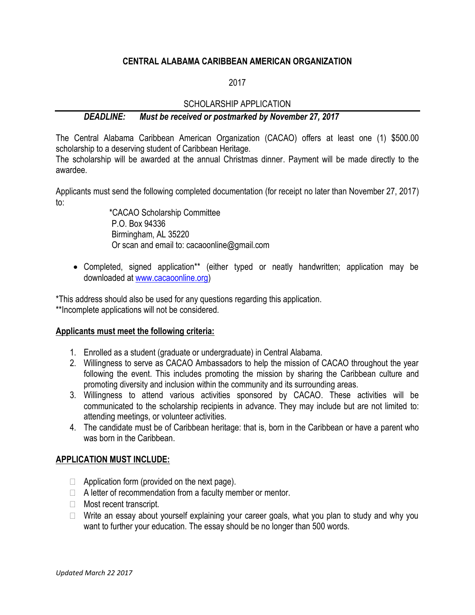### **CENTRAL ALABAMA CARIBBEAN AMERICAN ORGANIZATION**

2017

## SCHOLARSHIP APPLICATION

## *DEADLINE: Must be received or postmarked by November 27, 2017*

The Central Alabama Caribbean American Organization (CACAO) offers at least one (1) \$500.00 scholarship to a deserving student of Caribbean Heritage.

The scholarship will be awarded at the annual Christmas dinner. Payment will be made directly to the awardee.

Applicants must send the following completed documentation (for receipt no later than November 27, 2017) to:

> \*CACAO Scholarship Committee P.O. Box 94336 Birmingham, AL 35220 Or scan and email to: cacaoonline@gmail.com

• Completed, signed application\*\* (either typed or neatly handwritten; application may be downloaded a[t www.cacaoonline.org\)](http://www.cacaoonline.org/)

\*This address should also be used for any questions regarding this application. \*\*Incomplete applications will not be considered.

#### **Applicants must meet the following criteria:**

- 1. Enrolled as a student (graduate or undergraduate) in Central Alabama.
- 2. Willingness to serve as CACAO Ambassadors to help the mission of CACAO throughout the year following the event. This includes promoting the mission by sharing the Caribbean culture and promoting diversity and inclusion within the community and its surrounding areas.
- 3. Willingness to attend various activities sponsored by CACAO. These activities will be communicated to the scholarship recipients in advance. They may include but are not limited to: attending meetings, or volunteer activities.
- 4. The candidate must be of Caribbean heritage: that is, born in the Caribbean or have a parent who was born in the Caribbean.

#### **APPLICATION MUST INCLUDE:**

- $\Box$  Application form (provided on the next page).
- $\Box$  A letter of recommendation from a faculty member or mentor.
- **Most recent transcript.**
- $\Box$  Write an essay about yourself explaining your career goals, what you plan to study and why you want to further your education. The essay should be no longer than 500 words.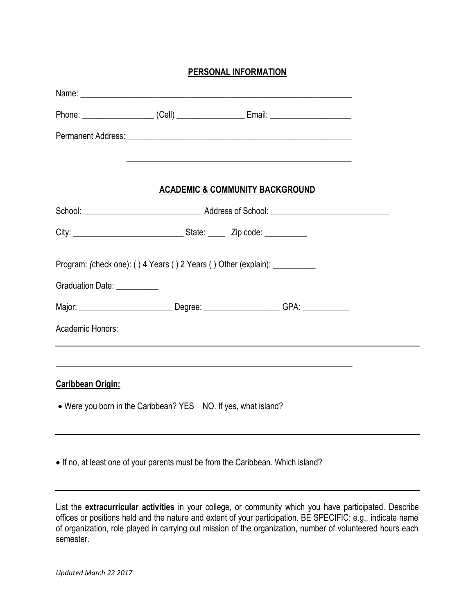# **PERSONAL INFORMATION**

| Phone: ______________________(Cell) _______________________Email: ______________________                    |                                                                                                                      |  |  |  |
|-------------------------------------------------------------------------------------------------------------|----------------------------------------------------------------------------------------------------------------------|--|--|--|
|                                                                                                             |                                                                                                                      |  |  |  |
|                                                                                                             | <u> 1989 - Jan James James James James James James James James James James James James James James James James J</u> |  |  |  |
| <b>ACADEMIC &amp; COMMUNITY BACKGROUND</b>                                                                  |                                                                                                                      |  |  |  |
|                                                                                                             |                                                                                                                      |  |  |  |
|                                                                                                             |                                                                                                                      |  |  |  |
| Program: (check one): () 4 Years () 2 Years () Other (explain): ___________<br>Graduation Date: ___________ |                                                                                                                      |  |  |  |
| Major: _______________________________Degree: ______________________GPA: _____________                      |                                                                                                                      |  |  |  |
| Academic Honors:                                                                                            |                                                                                                                      |  |  |  |
|                                                                                                             |                                                                                                                      |  |  |  |
| <b>Caribbean Origin:</b>                                                                                    |                                                                                                                      |  |  |  |
| . Were you born in the Caribbean? YES NO. If yes, what island?                                              |                                                                                                                      |  |  |  |
| • If no, at least one of your parents must be from the Caribbean. Which island?                             |                                                                                                                      |  |  |  |

List the **extracurricular activities** in your college, or community which you have participated. Describe offices or positions held and the nature and extent of your participation. BE SPECIFIC: e.g., indicate name of organization, role played in carrying out mission of the organization, number of volunteered hours each semester.